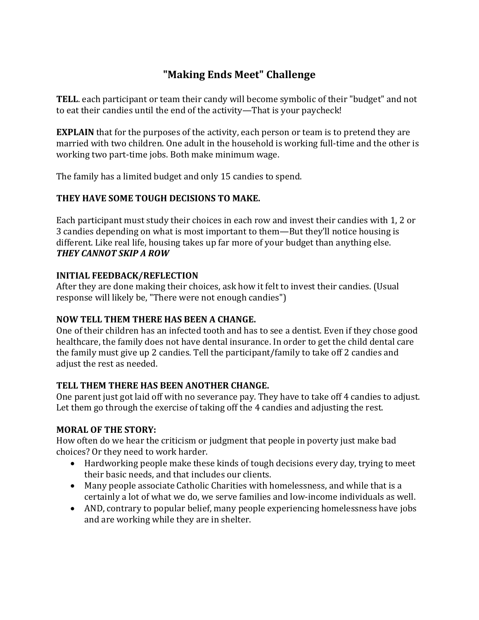# **"Making Ends Meet" Challenge**

**TELL**. each participant or team their candy will become symbolic of their "budget" and not to eat their candies until the end of the activity—That is your paycheck!

**EXPLAIN** that for the purposes of the activity, each person or team is to pretend they are married with two children. One adult in the household is working full-time and the other is working two part-time jobs. Both make minimum wage.

The family has a limited budget and only 15 candies to spend.

## **THEY HAVE SOME TOUGH DECISIONS TO MAKE.**

Each participant must study their choices in each row and invest their candies with 1, 2 or 3 candies depending on what is most important to them—But they'll notice housing is different. Like real life, housing takes up far more of your budget than anything else. *THEY CANNOT SKIP A ROW* 

#### **INITIAL FEEDBACK/REFLECTION**

After they are done making their choices, ask how it felt to invest their candies. (Usual response will likely be, "There were not enough candies")

## **NOW TELL THEM THERE HAS BEEN A CHANGE.**

One of their children has an infected tooth and has to see a dentist. Even if they chose good healthcare, the family does not have dental insurance. In order to get the child dental care the family must give up 2 candies. Tell the participant/family to take off 2 candies and adjust the rest as needed.

## **TELL THEM THERE HAS BEEN ANOTHER CHANGE.**

One parent just got laid off with no severance pay. They have to take off 4 candies to adjust. Let them go through the exercise of taking off the 4 candies and adjusting the rest.

#### **MORAL OF THE STORY:**

How often do we hear the criticism or judgment that people in poverty just make bad choices? Or they need to work harder.

- Hardworking people make these kinds of tough decisions every day, trying to meet their basic needs, and that includes our clients.
- Many people associate Catholic Charities with homelessness, and while that is a certainly a lot of what we do, we serve families and low-income individuals as well.
- AND, contrary to popular belief, many people experiencing homelessness have jobs and are working while they are in shelter.